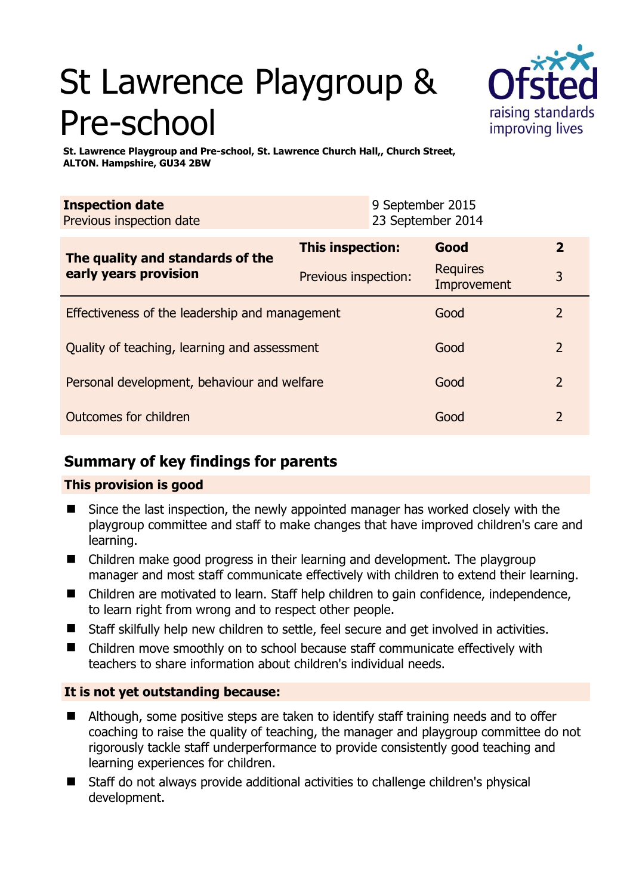# St Lawrence Playgroup & Pre-school



**St. Lawrence Playgroup and Pre-school, St. Lawrence Church Hall,, Church Street, ALTON. Hampshire, GU34 2BW** 

| <b>Inspection date</b>   | 9 September 2015  |
|--------------------------|-------------------|
| Previous inspection date | 23 September 2014 |
|                          |                   |

| The quality and standards of the<br>early years provision | <b>This inspection:</b> | Good                           | 2              |
|-----------------------------------------------------------|-------------------------|--------------------------------|----------------|
|                                                           | Previous inspection:    | <b>Requires</b><br>Improvement | 3              |
| Effectiveness of the leadership and management            |                         | Good                           | $\overline{2}$ |
| Quality of teaching, learning and assessment              |                         | Good                           | $\overline{2}$ |
| Personal development, behaviour and welfare               |                         | Good                           | $\overline{2}$ |
| Outcomes for children                                     |                         | Good                           | 2              |

# **Summary of key findings for parents**

## **This provision is good**

- Since the last inspection, the newly appointed manager has worked closely with the playgroup committee and staff to make changes that have improved children's care and learning.
- Children make good progress in their learning and development. The playgroup manager and most staff communicate effectively with children to extend their learning.
- Children are motivated to learn. Staff help children to gain confidence, independence, to learn right from wrong and to respect other people.
- Staff skilfully help new children to settle, feel secure and get involved in activities.
- Children move smoothly on to school because staff communicate effectively with teachers to share information about children's individual needs.

## **It is not yet outstanding because:**

- Although, some positive steps are taken to identify staff training needs and to offer coaching to raise the quality of teaching, the manager and playgroup committee do not rigorously tackle staff underperformance to provide consistently good teaching and learning experiences for children.
- Staff do not always provide additional activities to challenge children's physical development.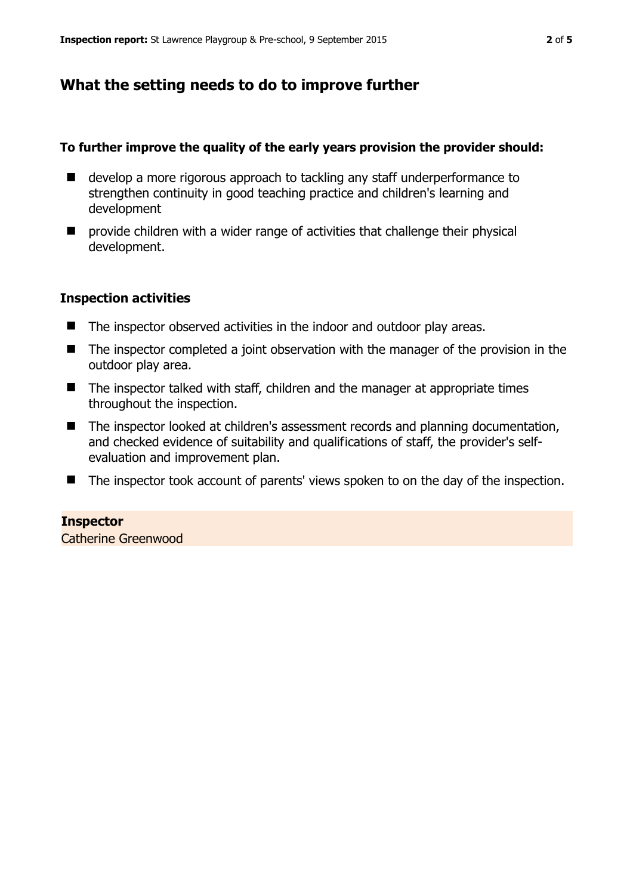## **What the setting needs to do to improve further**

#### **To further improve the quality of the early years provision the provider should:**

- develop a more rigorous approach to tackling any staff underperformance to strengthen continuity in good teaching practice and children's learning and development
- $\blacksquare$  provide children with a wider range of activities that challenge their physical development.

#### **Inspection activities**

- The inspector observed activities in the indoor and outdoor play areas.
- The inspector completed a joint observation with the manager of the provision in the outdoor play area.
- The inspector talked with staff, children and the manager at appropriate times throughout the inspection.
- The inspector looked at children's assessment records and planning documentation, and checked evidence of suitability and qualifications of staff, the provider's selfevaluation and improvement plan.
- The inspector took account of parents' views spoken to on the day of the inspection.

#### **Inspector**

Catherine Greenwood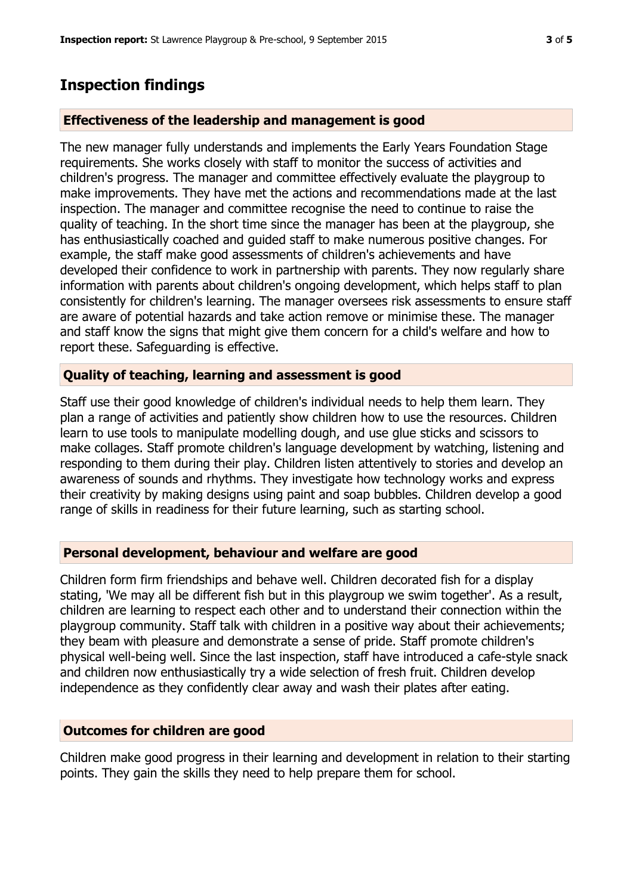# **Inspection findings**

#### **Effectiveness of the leadership and management is good**

The new manager fully understands and implements the Early Years Foundation Stage requirements. She works closely with staff to monitor the success of activities and children's progress. The manager and committee effectively evaluate the playgroup to make improvements. They have met the actions and recommendations made at the last inspection. The manager and committee recognise the need to continue to raise the quality of teaching. In the short time since the manager has been at the playgroup, she has enthusiastically coached and guided staff to make numerous positive changes. For example, the staff make good assessments of children's achievements and have developed their confidence to work in partnership with parents. They now regularly share information with parents about children's ongoing development, which helps staff to plan consistently for children's learning. The manager oversees risk assessments to ensure staff are aware of potential hazards and take action remove or minimise these. The manager and staff know the signs that might give them concern for a child's welfare and how to report these. Safeguarding is effective.

#### **Quality of teaching, learning and assessment is good**

Staff use their good knowledge of children's individual needs to help them learn. They plan a range of activities and patiently show children how to use the resources. Children learn to use tools to manipulate modelling dough, and use glue sticks and scissors to make collages. Staff promote children's language development by watching, listening and responding to them during their play. Children listen attentively to stories and develop an awareness of sounds and rhythms. They investigate how technology works and express their creativity by making designs using paint and soap bubbles. Children develop a good range of skills in readiness for their future learning, such as starting school.

#### **Personal development, behaviour and welfare are good**

Children form firm friendships and behave well. Children decorated fish for a display stating, 'We may all be different fish but in this playgroup we swim together'. As a result, children are learning to respect each other and to understand their connection within the playgroup community. Staff talk with children in a positive way about their achievements; they beam with pleasure and demonstrate a sense of pride. Staff promote children's physical well-being well. Since the last inspection, staff have introduced a cafe-style snack and children now enthusiastically try a wide selection of fresh fruit. Children develop independence as they confidently clear away and wash their plates after eating.

#### **Outcomes for children are good**

Children make good progress in their learning and development in relation to their starting points. They gain the skills they need to help prepare them for school.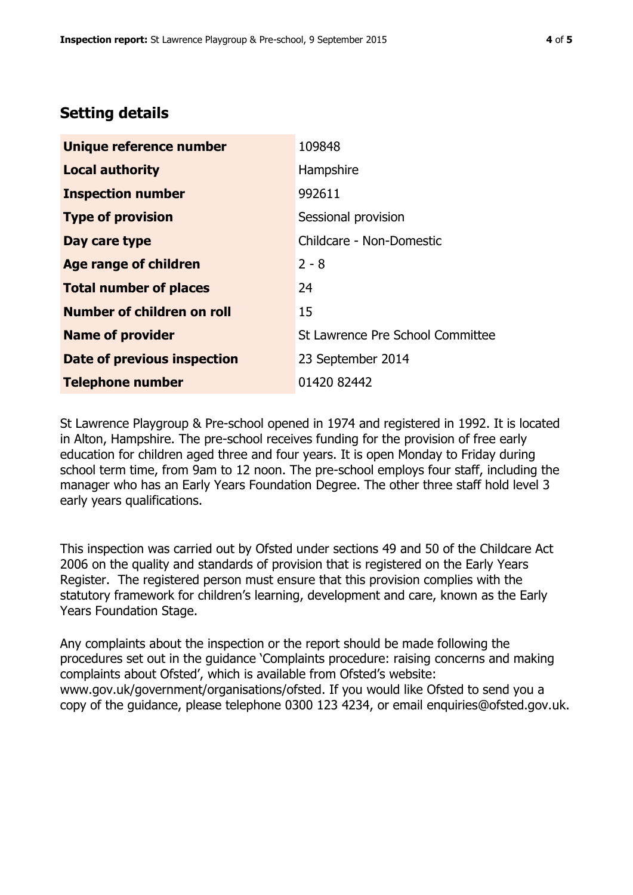## **Setting details**

| Unique reference number       | 109848                           |
|-------------------------------|----------------------------------|
| <b>Local authority</b>        | Hampshire                        |
| <b>Inspection number</b>      | 992611                           |
| <b>Type of provision</b>      | Sessional provision              |
| Day care type                 | Childcare - Non-Domestic         |
| Age range of children         | $2 - 8$                          |
| <b>Total number of places</b> | 24                               |
| Number of children on roll    | 15                               |
| <b>Name of provider</b>       | St Lawrence Pre School Committee |
| Date of previous inspection   | 23 September 2014                |
| <b>Telephone number</b>       | 01420 82442                      |

St Lawrence Playgroup & Pre-school opened in 1974 and registered in 1992. It is located in Alton, Hampshire. The pre-school receives funding for the provision of free early education for children aged three and four years. It is open Monday to Friday during school term time, from 9am to 12 noon. The pre-school employs four staff, including the manager who has an Early Years Foundation Degree. The other three staff hold level 3 early years qualifications.

This inspection was carried out by Ofsted under sections 49 and 50 of the Childcare Act 2006 on the quality and standards of provision that is registered on the Early Years Register. The registered person must ensure that this provision complies with the statutory framework for children's learning, development and care, known as the Early Years Foundation Stage.

Any complaints about the inspection or the report should be made following the procedures set out in the guidance 'Complaints procedure: raising concerns and making complaints about Ofsted', which is available from Ofsted's website: www.gov.uk/government/organisations/ofsted. If you would like Ofsted to send you a copy of the guidance, please telephone 0300 123 4234, or email enquiries@ofsted.gov.uk.